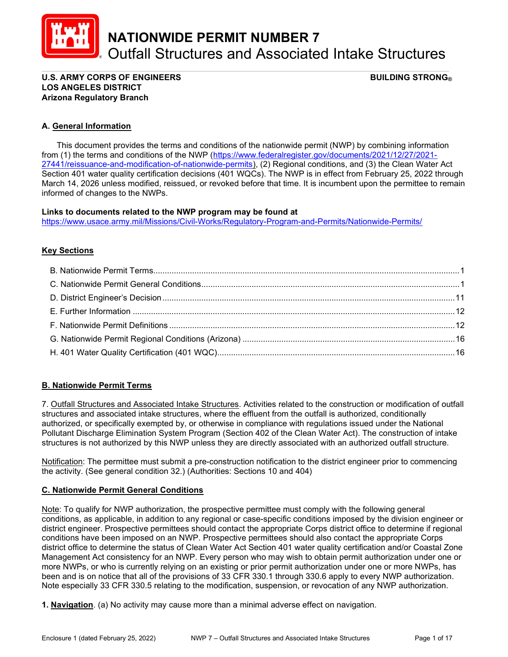

NATIONWIDE PERMIT NUMBER 7 Outfall Structures and Associated Intake Structures

#### \_\_\_\_\_\_\_\_\_\_\_\_\_\_\_\_\_\_\_\_\_\_\_\_\_\_\_\_\_\_\_\_\_\_\_\_\_\_\_\_\_\_\_\_\_\_\_\_\_\_\_\_\_\_\_\_\_\_\_\_\_\_\_\_\_\_\_\_\_\_\_\_\_\_\_\_\_\_\_\_\_\_\_\_\_\_\_\_\_ U.S. ARMY CORPS OF ENGINEERS BUILDING STRONG® LOS ANGELES DISTRICT Arizona Regulatory Branch

# A. General Information

 This document provides the terms and conditions of the nationwide permit (NWP) by combining information from (1) the terms and conditions of the NWP (https://www.federalregister.gov/documents/2021/12/27/2021- 27441/reissuance-and-modification-of-nationwide-permits), (2) Regional conditions, and (3) the Clean Water Act Section 401 water quality certification decisions (401 WQCs). The NWP is in effect from February 25, 2022 through March 14, 2026 unless modified, reissued, or revoked before that time. It is incumbent upon the permittee to remain informed of changes to the NWPs.

### Links to documents related to the NWP program may be found at

https://www.usace.army.mil/Missions/Civil-Works/Regulatory-Program-and-Permits/Nationwide-Permits/

## **Key Sections**

# B. Nationwide Permit Terms

7. Outfall Structures and Associated Intake Structures. Activities related to the construction or modification of outfall structures and associated intake structures, where the effluent from the outfall is authorized, conditionally authorized, or specifically exempted by, or otherwise in compliance with regulations issued under the National Pollutant Discharge Elimination System Program (Section 402 of the Clean Water Act). The construction of intake structures is not authorized by this NWP unless they are directly associated with an authorized outfall structure.

Notification: The permittee must submit a pre-construction notification to the district engineer prior to commencing the activity. (See general condition 32.) (Authorities: Sections 10 and 404)

## C. Nationwide Permit General Conditions

Note: To qualify for NWP authorization, the prospective permittee must comply with the following general conditions, as applicable, in addition to any regional or case-specific conditions imposed by the division engineer or district engineer. Prospective permittees should contact the appropriate Corps district office to determine if regional conditions have been imposed on an NWP. Prospective permittees should also contact the appropriate Corps district office to determine the status of Clean Water Act Section 401 water quality certification and/or Coastal Zone Management Act consistency for an NWP. Every person who may wish to obtain permit authorization under one or more NWPs, or who is currently relying on an existing or prior permit authorization under one or more NWPs, has been and is on notice that all of the provisions of 33 CFR 330.1 through 330.6 apply to every NWP authorization. Note especially 33 CFR 330.5 relating to the modification, suspension, or revocation of any NWP authorization.

1. Navigation. (a) No activity may cause more than a minimal adverse effect on navigation.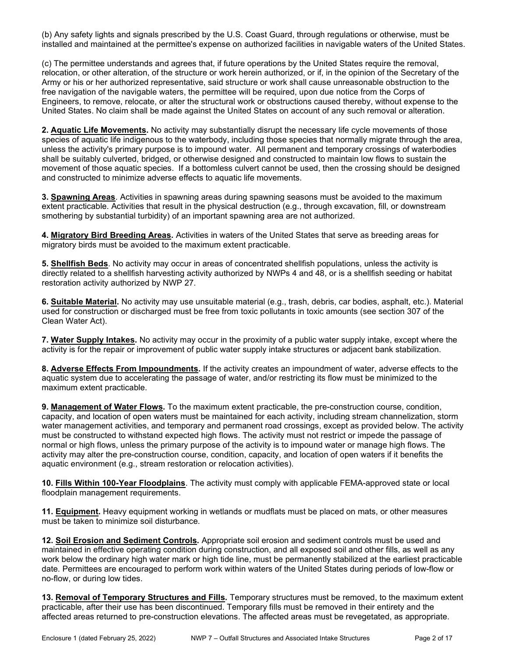(b) Any safety lights and signals prescribed by the U.S. Coast Guard, through regulations or otherwise, must be installed and maintained at the permittee's expense on authorized facilities in navigable waters of the United States.

(c) The permittee understands and agrees that, if future operations by the United States require the removal, relocation, or other alteration, of the structure or work herein authorized, or if, in the opinion of the Secretary of the Army or his or her authorized representative, said structure or work shall cause unreasonable obstruction to the free navigation of the navigable waters, the permittee will be required, upon due notice from the Corps of Engineers, to remove, relocate, or alter the structural work or obstructions caused thereby, without expense to the United States. No claim shall be made against the United States on account of any such removal or alteration.

2. Aquatic Life Movements. No activity may substantially disrupt the necessary life cycle movements of those species of aquatic life indigenous to the waterbody, including those species that normally migrate through the area, unless the activity's primary purpose is to impound water. All permanent and temporary crossings of waterbodies shall be suitably culverted, bridged, or otherwise designed and constructed to maintain low flows to sustain the movement of those aquatic species. If a bottomless culvert cannot be used, then the crossing should be designed and constructed to minimize adverse effects to aquatic life movements.

3. Spawning Areas. Activities in spawning areas during spawning seasons must be avoided to the maximum extent practicable. Activities that result in the physical destruction (e.g., through excavation, fill, or downstream smothering by substantial turbidity) of an important spawning area are not authorized.

4. Migratory Bird Breeding Areas. Activities in waters of the United States that serve as breeding areas for migratory birds must be avoided to the maximum extent practicable.

5. Shellfish Beds. No activity may occur in areas of concentrated shellfish populations, unless the activity is directly related to a shellfish harvesting activity authorized by NWPs 4 and 48, or is a shellfish seeding or habitat restoration activity authorized by NWP 27.

6. Suitable Material. No activity may use unsuitable material (e.g., trash, debris, car bodies, asphalt, etc.). Material used for construction or discharged must be free from toxic pollutants in toxic amounts (see section 307 of the Clean Water Act).

7. Water Supply Intakes. No activity may occur in the proximity of a public water supply intake, except where the activity is for the repair or improvement of public water supply intake structures or adjacent bank stabilization.

8. Adverse Effects From Impoundments. If the activity creates an impoundment of water, adverse effects to the aquatic system due to accelerating the passage of water, and/or restricting its flow must be minimized to the maximum extent practicable.

9. Management of Water Flows. To the maximum extent practicable, the pre-construction course, condition, capacity, and location of open waters must be maintained for each activity, including stream channelization, storm water management activities, and temporary and permanent road crossings, except as provided below. The activity must be constructed to withstand expected high flows. The activity must not restrict or impede the passage of normal or high flows, unless the primary purpose of the activity is to impound water or manage high flows. The activity may alter the pre-construction course, condition, capacity, and location of open waters if it benefits the aquatic environment (e.g., stream restoration or relocation activities).

10. Fills Within 100-Year Floodplains. The activity must comply with applicable FEMA-approved state or local floodplain management requirements.

11. Equipment. Heavy equipment working in wetlands or mudflats must be placed on mats, or other measures must be taken to minimize soil disturbance.

12. Soil Erosion and Sediment Controls. Appropriate soil erosion and sediment controls must be used and maintained in effective operating condition during construction, and all exposed soil and other fills, as well as any work below the ordinary high water mark or high tide line, must be permanently stabilized at the earliest practicable date. Permittees are encouraged to perform work within waters of the United States during periods of low-flow or no-flow, or during low tides.

13. Removal of Temporary Structures and Fills. Temporary structures must be removed, to the maximum extent practicable, after their use has been discontinued. Temporary fills must be removed in their entirety and the affected areas returned to pre-construction elevations. The affected areas must be revegetated, as appropriate.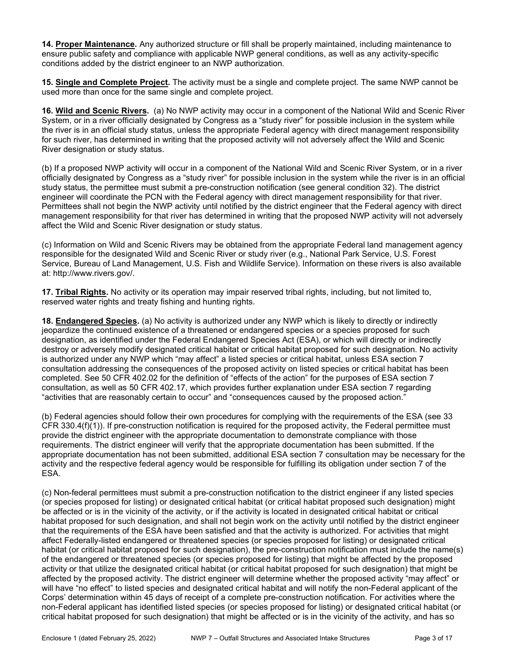14. Proper Maintenance. Any authorized structure or fill shall be properly maintained, including maintenance to ensure public safety and compliance with applicable NWP general conditions, as well as any activity-specific conditions added by the district engineer to an NWP authorization.

15. Single and Complete Project. The activity must be a single and complete project. The same NWP cannot be used more than once for the same single and complete project.

16. Wild and Scenic Rivers. (a) No NWP activity may occur in a component of the National Wild and Scenic River System, or in a river officially designated by Congress as a "study river" for possible inclusion in the system while the river is in an official study status, unless the appropriate Federal agency with direct management responsibility for such river, has determined in writing that the proposed activity will not adversely affect the Wild and Scenic River designation or study status.

(b) If a proposed NWP activity will occur in a component of the National Wild and Scenic River System, or in a river officially designated by Congress as a "study river" for possible inclusion in the system while the river is in an official study status, the permittee must submit a pre-construction notification (see general condition 32). The district engineer will coordinate the PCN with the Federal agency with direct management responsibility for that river. Permittees shall not begin the NWP activity until notified by the district engineer that the Federal agency with direct management responsibility for that river has determined in writing that the proposed NWP activity will not adversely affect the Wild and Scenic River designation or study status.

(c) Information on Wild and Scenic Rivers may be obtained from the appropriate Federal land management agency responsible for the designated Wild and Scenic River or study river (e.g., National Park Service, U.S. Forest Service, Bureau of Land Management, U.S. Fish and Wildlife Service). Information on these rivers is also available at: http://www.rivers.gov/.

17. Tribal Rights. No activity or its operation may impair reserved tribal rights, including, but not limited to, reserved water rights and treaty fishing and hunting rights.

18. Endangered Species. (a) No activity is authorized under any NWP which is likely to directly or indirectly jeopardize the continued existence of a threatened or endangered species or a species proposed for such designation, as identified under the Federal Endangered Species Act (ESA), or which will directly or indirectly destroy or adversely modify designated critical habitat or critical habitat proposed for such designation. No activity is authorized under any NWP which "may affect" a listed species or critical habitat, unless ESA section 7 consultation addressing the consequences of the proposed activity on listed species or critical habitat has been completed. See 50 CFR 402.02 for the definition of "effects of the action" for the purposes of ESA section 7 consultation, as well as 50 CFR 402.17, which provides further explanation under ESA section 7 regarding "activities that are reasonably certain to occur" and "consequences caused by the proposed action."

(b) Federal agencies should follow their own procedures for complying with the requirements of the ESA (see 33 CFR 330.4(f)(1)). If pre-construction notification is required for the proposed activity, the Federal permittee must provide the district engineer with the appropriate documentation to demonstrate compliance with those requirements. The district engineer will verify that the appropriate documentation has been submitted. If the appropriate documentation has not been submitted, additional ESA section 7 consultation may be necessary for the activity and the respective federal agency would be responsible for fulfilling its obligation under section 7 of the ESA.

(c) Non-federal permittees must submit a pre-construction notification to the district engineer if any listed species (or species proposed for listing) or designated critical habitat (or critical habitat proposed such designation) might be affected or is in the vicinity of the activity, or if the activity is located in designated critical habitat or critical habitat proposed for such designation, and shall not begin work on the activity until notified by the district engineer that the requirements of the ESA have been satisfied and that the activity is authorized. For activities that might affect Federally-listed endangered or threatened species (or species proposed for listing) or designated critical habitat (or critical habitat proposed for such designation), the pre-construction notification must include the name(s) of the endangered or threatened species (or species proposed for listing) that might be affected by the proposed activity or that utilize the designated critical habitat (or critical habitat proposed for such designation) that might be affected by the proposed activity. The district engineer will determine whether the proposed activity "may affect" or will have "no effect" to listed species and designated critical habitat and will notify the non-Federal applicant of the Corps' determination within 45 days of receipt of a complete pre-construction notification. For activities where the non-Federal applicant has identified listed species (or species proposed for listing) or designated critical habitat (or critical habitat proposed for such designation) that might be affected or is in the vicinity of the activity, and has so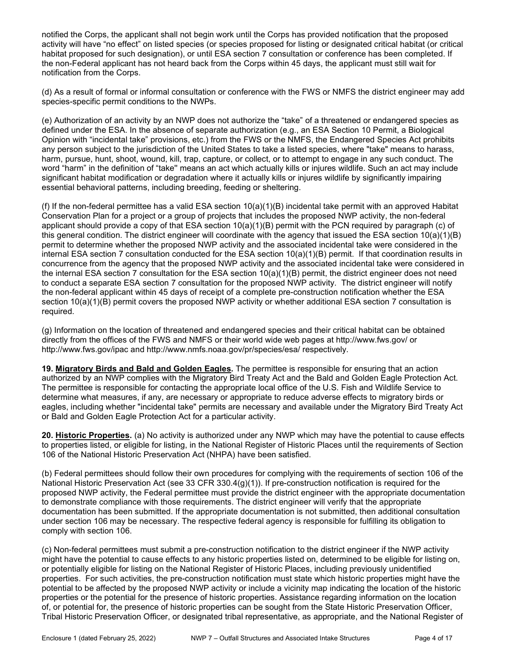notified the Corps, the applicant shall not begin work until the Corps has provided notification that the proposed activity will have "no effect" on listed species (or species proposed for listing or designated critical habitat (or critical habitat proposed for such designation), or until ESA section 7 consultation or conference has been completed. If the non-Federal applicant has not heard back from the Corps within 45 days, the applicant must still wait for notification from the Corps.

(d) As a result of formal or informal consultation or conference with the FWS or NMFS the district engineer may add species-specific permit conditions to the NWPs.

(e) Authorization of an activity by an NWP does not authorize the "take" of a threatened or endangered species as defined under the ESA. In the absence of separate authorization (e.g., an ESA Section 10 Permit, a Biological Opinion with "incidental take" provisions, etc.) from the FWS or the NMFS, the Endangered Species Act prohibits any person subject to the jurisdiction of the United States to take a listed species, where "take" means to harass, harm, pursue, hunt, shoot, wound, kill, trap, capture, or collect, or to attempt to engage in any such conduct. The word "harm" in the definition of "take'' means an act which actually kills or injures wildlife. Such an act may include significant habitat modification or degradation where it actually kills or injures wildlife by significantly impairing essential behavioral patterns, including breeding, feeding or sheltering.

(f) If the non-federal permittee has a valid ESA section  $10(a)(1)(B)$  incidental take permit with an approved Habitat Conservation Plan for a project or a group of projects that includes the proposed NWP activity, the non-federal applicant should provide a copy of that ESA section 10(a)(1)(B) permit with the PCN required by paragraph (c) of this general condition. The district engineer will coordinate with the agency that issued the ESA section 10(a)(1)(B) permit to determine whether the proposed NWP activity and the associated incidental take were considered in the internal ESA section 7 consultation conducted for the ESA section 10(a)(1)(B) permit. If that coordination results in concurrence from the agency that the proposed NWP activity and the associated incidental take were considered in the internal ESA section 7 consultation for the ESA section 10(a)(1)(B) permit, the district engineer does not need to conduct a separate ESA section 7 consultation for the proposed NWP activity. The district engineer will notify the non-federal applicant within 45 days of receipt of a complete pre-construction notification whether the ESA section 10(a)(1)(B) permit covers the proposed NWP activity or whether additional ESA section 7 consultation is required.

(g) Information on the location of threatened and endangered species and their critical habitat can be obtained directly from the offices of the FWS and NMFS or their world wide web pages at http://www.fws.gov/ or http://www.fws.gov/ipac and http://www.nmfs.noaa.gov/pr/species/esa/ respectively.

19. Migratory Birds and Bald and Golden Eagles. The permittee is responsible for ensuring that an action authorized by an NWP complies with the Migratory Bird Treaty Act and the Bald and Golden Eagle Protection Act. The permittee is responsible for contacting the appropriate local office of the U.S. Fish and Wildlife Service to determine what measures, if any, are necessary or appropriate to reduce adverse effects to migratory birds or eagles, including whether "incidental take" permits are necessary and available under the Migratory Bird Treaty Act or Bald and Golden Eagle Protection Act for a particular activity.

20. Historic Properties. (a) No activity is authorized under any NWP which may have the potential to cause effects to properties listed, or eligible for listing, in the National Register of Historic Places until the requirements of Section 106 of the National Historic Preservation Act (NHPA) have been satisfied.

(b) Federal permittees should follow their own procedures for complying with the requirements of section 106 of the National Historic Preservation Act (see 33 CFR 330.4(g)(1)). If pre-construction notification is required for the proposed NWP activity, the Federal permittee must provide the district engineer with the appropriate documentation to demonstrate compliance with those requirements. The district engineer will verify that the appropriate documentation has been submitted. If the appropriate documentation is not submitted, then additional consultation under section 106 may be necessary. The respective federal agency is responsible for fulfilling its obligation to comply with section 106.

(c) Non-federal permittees must submit a pre-construction notification to the district engineer if the NWP activity might have the potential to cause effects to any historic properties listed on, determined to be eligible for listing on, or potentially eligible for listing on the National Register of Historic Places, including previously unidentified properties. For such activities, the pre-construction notification must state which historic properties might have the potential to be affected by the proposed NWP activity or include a vicinity map indicating the location of the historic properties or the potential for the presence of historic properties. Assistance regarding information on the location of, or potential for, the presence of historic properties can be sought from the State Historic Preservation Officer, Tribal Historic Preservation Officer, or designated tribal representative, as appropriate, and the National Register of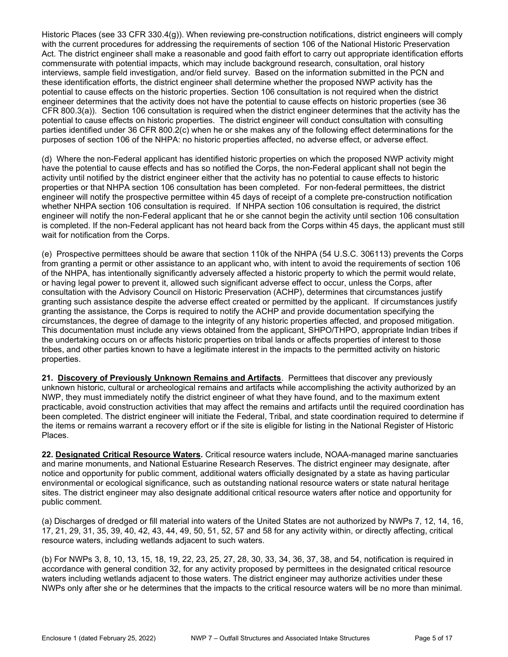Historic Places (see 33 CFR 330.4(g)). When reviewing pre-construction notifications, district engineers will comply with the current procedures for addressing the requirements of section 106 of the National Historic Preservation Act. The district engineer shall make a reasonable and good faith effort to carry out appropriate identification efforts commensurate with potential impacts, which may include background research, consultation, oral history interviews, sample field investigation, and/or field survey. Based on the information submitted in the PCN and these identification efforts, the district engineer shall determine whether the proposed NWP activity has the potential to cause effects on the historic properties. Section 106 consultation is not required when the district engineer determines that the activity does not have the potential to cause effects on historic properties (see 36 CFR 800.3(a)). Section 106 consultation is required when the district engineer determines that the activity has the potential to cause effects on historic properties. The district engineer will conduct consultation with consulting parties identified under 36 CFR 800.2(c) when he or she makes any of the following effect determinations for the purposes of section 106 of the NHPA: no historic properties affected, no adverse effect, or adverse effect.

(d) Where the non-Federal applicant has identified historic properties on which the proposed NWP activity might have the potential to cause effects and has so notified the Corps, the non-Federal applicant shall not begin the activity until notified by the district engineer either that the activity has no potential to cause effects to historic properties or that NHPA section 106 consultation has been completed. For non-federal permittees, the district engineer will notify the prospective permittee within 45 days of receipt of a complete pre-construction notification whether NHPA section 106 consultation is required. If NHPA section 106 consultation is required, the district engineer will notify the non-Federal applicant that he or she cannot begin the activity until section 106 consultation is completed. If the non-Federal applicant has not heard back from the Corps within 45 days, the applicant must still wait for notification from the Corps.

(e) Prospective permittees should be aware that section 110k of the NHPA (54 U.S.C. 306113) prevents the Corps from granting a permit or other assistance to an applicant who, with intent to avoid the requirements of section 106 of the NHPA, has intentionally significantly adversely affected a historic property to which the permit would relate, or having legal power to prevent it, allowed such significant adverse effect to occur, unless the Corps, after consultation with the Advisory Council on Historic Preservation (ACHP), determines that circumstances justify granting such assistance despite the adverse effect created or permitted by the applicant. If circumstances justify granting the assistance, the Corps is required to notify the ACHP and provide documentation specifying the circumstances, the degree of damage to the integrity of any historic properties affected, and proposed mitigation. This documentation must include any views obtained from the applicant, SHPO/THPO, appropriate Indian tribes if the undertaking occurs on or affects historic properties on tribal lands or affects properties of interest to those tribes, and other parties known to have a legitimate interest in the impacts to the permitted activity on historic properties.

21. Discovery of Previously Unknown Remains and Artifacts. Permittees that discover any previously unknown historic, cultural or archeological remains and artifacts while accomplishing the activity authorized by an NWP, they must immediately notify the district engineer of what they have found, and to the maximum extent practicable, avoid construction activities that may affect the remains and artifacts until the required coordination has been completed. The district engineer will initiate the Federal, Tribal, and state coordination required to determine if the items or remains warrant a recovery effort or if the site is eligible for listing in the National Register of Historic Places.

22. Designated Critical Resource Waters. Critical resource waters include, NOAA-managed marine sanctuaries and marine monuments, and National Estuarine Research Reserves. The district engineer may designate, after notice and opportunity for public comment, additional waters officially designated by a state as having particular environmental or ecological significance, such as outstanding national resource waters or state natural heritage sites. The district engineer may also designate additional critical resource waters after notice and opportunity for public comment.

(a) Discharges of dredged or fill material into waters of the United States are not authorized by NWPs 7, 12, 14, 16, 17, 21, 29, 31, 35, 39, 40, 42, 43, 44, 49, 50, 51, 52, 57 and 58 for any activity within, or directly affecting, critical resource waters, including wetlands adjacent to such waters.

(b) For NWPs 3, 8, 10, 13, 15, 18, 19, 22, 23, 25, 27, 28, 30, 33, 34, 36, 37, 38, and 54, notification is required in accordance with general condition 32, for any activity proposed by permittees in the designated critical resource waters including wetlands adjacent to those waters. The district engineer may authorize activities under these NWPs only after she or he determines that the impacts to the critical resource waters will be no more than minimal.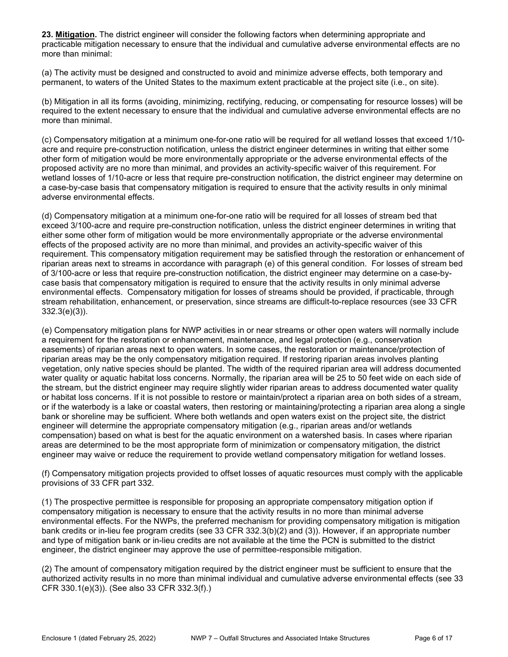23. Mitigation. The district engineer will consider the following factors when determining appropriate and practicable mitigation necessary to ensure that the individual and cumulative adverse environmental effects are no more than minimal:

(a) The activity must be designed and constructed to avoid and minimize adverse effects, both temporary and permanent, to waters of the United States to the maximum extent practicable at the project site (i.e., on site).

(b) Mitigation in all its forms (avoiding, minimizing, rectifying, reducing, or compensating for resource losses) will be required to the extent necessary to ensure that the individual and cumulative adverse environmental effects are no more than minimal.

(c) Compensatory mitigation at a minimum one-for-one ratio will be required for all wetland losses that exceed 1/10 acre and require pre-construction notification, unless the district engineer determines in writing that either some other form of mitigation would be more environmentally appropriate or the adverse environmental effects of the proposed activity are no more than minimal, and provides an activity-specific waiver of this requirement. For wetland losses of 1/10-acre or less that require pre-construction notification, the district engineer may determine on a case-by-case basis that compensatory mitigation is required to ensure that the activity results in only minimal adverse environmental effects.

(d) Compensatory mitigation at a minimum one-for-one ratio will be required for all losses of stream bed that exceed 3/100-acre and require pre-construction notification, unless the district engineer determines in writing that either some other form of mitigation would be more environmentally appropriate or the adverse environmental effects of the proposed activity are no more than minimal, and provides an activity-specific waiver of this requirement. This compensatory mitigation requirement may be satisfied through the restoration or enhancement of riparian areas next to streams in accordance with paragraph (e) of this general condition. For losses of stream bed of 3/100-acre or less that require pre-construction notification, the district engineer may determine on a case-bycase basis that compensatory mitigation is required to ensure that the activity results in only minimal adverse environmental effects. Compensatory mitigation for losses of streams should be provided, if practicable, through stream rehabilitation, enhancement, or preservation, since streams are difficult-to-replace resources (see 33 CFR 332.3(e)(3)).

(e) Compensatory mitigation plans for NWP activities in or near streams or other open waters will normally include a requirement for the restoration or enhancement, maintenance, and legal protection (e.g., conservation easements) of riparian areas next to open waters. In some cases, the restoration or maintenance/protection of riparian areas may be the only compensatory mitigation required. If restoring riparian areas involves planting vegetation, only native species should be planted. The width of the required riparian area will address documented water quality or aquatic habitat loss concerns. Normally, the riparian area will be 25 to 50 feet wide on each side of the stream, but the district engineer may require slightly wider riparian areas to address documented water quality or habitat loss concerns. If it is not possible to restore or maintain/protect a riparian area on both sides of a stream, or if the waterbody is a lake or coastal waters, then restoring or maintaining/protecting a riparian area along a single bank or shoreline may be sufficient. Where both wetlands and open waters exist on the project site, the district engineer will determine the appropriate compensatory mitigation (e.g., riparian areas and/or wetlands compensation) based on what is best for the aquatic environment on a watershed basis. In cases where riparian areas are determined to be the most appropriate form of minimization or compensatory mitigation, the district engineer may waive or reduce the requirement to provide wetland compensatory mitigation for wetland losses.

(f) Compensatory mitigation projects provided to offset losses of aquatic resources must comply with the applicable provisions of 33 CFR part 332.

(1) The prospective permittee is responsible for proposing an appropriate compensatory mitigation option if compensatory mitigation is necessary to ensure that the activity results in no more than minimal adverse environmental effects. For the NWPs, the preferred mechanism for providing compensatory mitigation is mitigation bank credits or in-lieu fee program credits (see 33 CFR 332.3(b)(2) and (3)). However, if an appropriate number and type of mitigation bank or in-lieu credits are not available at the time the PCN is submitted to the district engineer, the district engineer may approve the use of permittee-responsible mitigation.

(2) The amount of compensatory mitigation required by the district engineer must be sufficient to ensure that the authorized activity results in no more than minimal individual and cumulative adverse environmental effects (see 33 CFR 330.1(e)(3)). (See also 33 CFR 332.3(f).)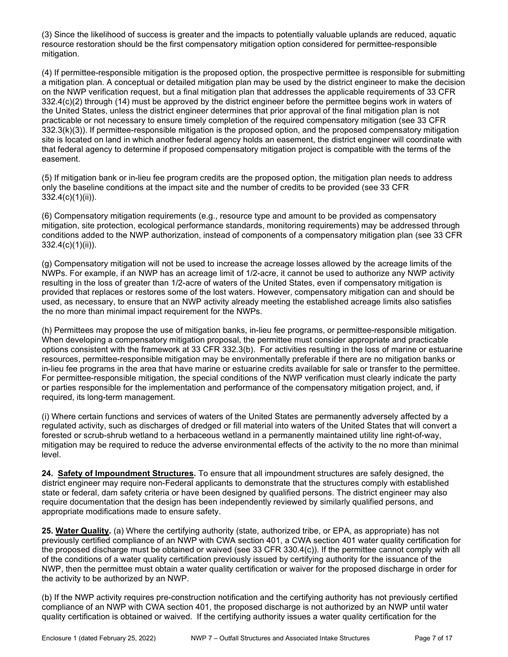(3) Since the likelihood of success is greater and the impacts to potentially valuable uplands are reduced, aquatic resource restoration should be the first compensatory mitigation option considered for permittee-responsible mitigation.

(4) If permittee-responsible mitigation is the proposed option, the prospective permittee is responsible for submitting a mitigation plan. A conceptual or detailed mitigation plan may be used by the district engineer to make the decision on the NWP verification request, but a final mitigation plan that addresses the applicable requirements of 33 CFR 332.4(c)(2) through (14) must be approved by the district engineer before the permittee begins work in waters of the United States, unless the district engineer determines that prior approval of the final mitigation plan is not practicable or not necessary to ensure timely completion of the required compensatory mitigation (see 33 CFR 332.3(k)(3)). If permittee-responsible mitigation is the proposed option, and the proposed compensatory mitigation site is located on land in which another federal agency holds an easement, the district engineer will coordinate with that federal agency to determine if proposed compensatory mitigation project is compatible with the terms of the easement.

(5) If mitigation bank or in-lieu fee program credits are the proposed option, the mitigation plan needs to address only the baseline conditions at the impact site and the number of credits to be provided (see 33 CFR 332.4(c)(1)(ii)).

(6) Compensatory mitigation requirements (e.g., resource type and amount to be provided as compensatory mitigation, site protection, ecological performance standards, monitoring requirements) may be addressed through conditions added to the NWP authorization, instead of components of a compensatory mitigation plan (see 33 CFR 332.4(c)(1)(ii)).

(g) Compensatory mitigation will not be used to increase the acreage losses allowed by the acreage limits of the NWPs. For example, if an NWP has an acreage limit of 1/2-acre, it cannot be used to authorize any NWP activity resulting in the loss of greater than 1/2-acre of waters of the United States, even if compensatory mitigation is provided that replaces or restores some of the lost waters. However, compensatory mitigation can and should be used, as necessary, to ensure that an NWP activity already meeting the established acreage limits also satisfies the no more than minimal impact requirement for the NWPs.

(h) Permittees may propose the use of mitigation banks, in-lieu fee programs, or permittee-responsible mitigation. When developing a compensatory mitigation proposal, the permittee must consider appropriate and practicable options consistent with the framework at 33 CFR 332.3(b). For activities resulting in the loss of marine or estuarine resources, permittee-responsible mitigation may be environmentally preferable if there are no mitigation banks or in-lieu fee programs in the area that have marine or estuarine credits available for sale or transfer to the permittee. For permittee-responsible mitigation, the special conditions of the NWP verification must clearly indicate the party or parties responsible for the implementation and performance of the compensatory mitigation project, and, if required, its long-term management.

(i) Where certain functions and services of waters of the United States are permanently adversely affected by a regulated activity, such as discharges of dredged or fill material into waters of the United States that will convert a forested or scrub-shrub wetland to a herbaceous wetland in a permanently maintained utility line right-of-way, mitigation may be required to reduce the adverse environmental effects of the activity to the no more than minimal level.

24. Safety of Impoundment Structures. To ensure that all impoundment structures are safely designed, the district engineer may require non-Federal applicants to demonstrate that the structures comply with established state or federal, dam safety criteria or have been designed by qualified persons. The district engineer may also require documentation that the design has been independently reviewed by similarly qualified persons, and appropriate modifications made to ensure safety.

25. Water Quality. (a) Where the certifying authority (state, authorized tribe, or EPA, as appropriate) has not previously certified compliance of an NWP with CWA section 401, a CWA section 401 water quality certification for the proposed discharge must be obtained or waived (see 33 CFR 330.4(c)). If the permittee cannot comply with all of the conditions of a water quality certification previously issued by certifying authority for the issuance of the NWP, then the permittee must obtain a water quality certification or waiver for the proposed discharge in order for the activity to be authorized by an NWP.

(b) If the NWP activity requires pre-construction notification and the certifying authority has not previously certified compliance of an NWP with CWA section 401, the proposed discharge is not authorized by an NWP until water quality certification is obtained or waived. If the certifying authority issues a water quality certification for the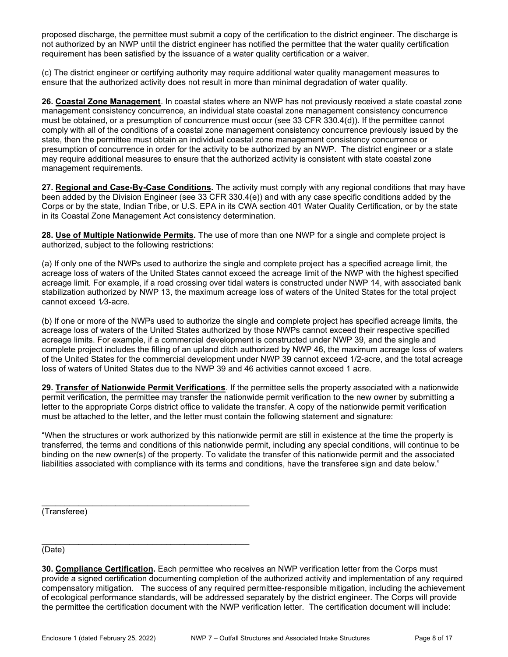proposed discharge, the permittee must submit a copy of the certification to the district engineer. The discharge is not authorized by an NWP until the district engineer has notified the permittee that the water quality certification requirement has been satisfied by the issuance of a water quality certification or a waiver.

(c) The district engineer or certifying authority may require additional water quality management measures to ensure that the authorized activity does not result in more than minimal degradation of water quality.

26. Coastal Zone Management. In coastal states where an NWP has not previously received a state coastal zone management consistency concurrence, an individual state coastal zone management consistency concurrence must be obtained, or a presumption of concurrence must occur (see 33 CFR 330.4(d)). If the permittee cannot comply with all of the conditions of a coastal zone management consistency concurrence previously issued by the state, then the permittee must obtain an individual coastal zone management consistency concurrence or presumption of concurrence in order for the activity to be authorized by an NWP. The district engineer or a state may require additional measures to ensure that the authorized activity is consistent with state coastal zone management requirements.

27. Regional and Case-By-Case Conditions. The activity must comply with any regional conditions that may have been added by the Division Engineer (see 33 CFR 330.4(e)) and with any case specific conditions added by the Corps or by the state, Indian Tribe, or U.S. EPA in its CWA section 401 Water Quality Certification, or by the state in its Coastal Zone Management Act consistency determination.

28. Use of Multiple Nationwide Permits. The use of more than one NWP for a single and complete project is authorized, subject to the following restrictions:

(a) If only one of the NWPs used to authorize the single and complete project has a specified acreage limit, the acreage loss of waters of the United States cannot exceed the acreage limit of the NWP with the highest specified acreage limit. For example, if a road crossing over tidal waters is constructed under NWP 14, with associated bank stabilization authorized by NWP 13, the maximum acreage loss of waters of the United States for the total project cannot exceed 1/3-acre.

(b) If one or more of the NWPs used to authorize the single and complete project has specified acreage limits, the acreage loss of waters of the United States authorized by those NWPs cannot exceed their respective specified acreage limits. For example, if a commercial development is constructed under NWP 39, and the single and complete project includes the filling of an upland ditch authorized by NWP 46, the maximum acreage loss of waters of the United States for the commercial development under NWP 39 cannot exceed 1/2-acre, and the total acreage loss of waters of United States due to the NWP 39 and 46 activities cannot exceed 1 acre.

29. Transfer of Nationwide Permit Verifications. If the permittee sells the property associated with a nationwide permit verification, the permittee may transfer the nationwide permit verification to the new owner by submitting a letter to the appropriate Corps district office to validate the transfer. A copy of the nationwide permit verification must be attached to the letter, and the letter must contain the following statement and signature:

"When the structures or work authorized by this nationwide permit are still in existence at the time the property is transferred, the terms and conditions of this nationwide permit, including any special conditions, will continue to be binding on the new owner(s) of the property. To validate the transfer of this nationwide permit and the associated liabilities associated with compliance with its terms and conditions, have the transferee sign and date below."

(Transferee)

\_\_\_\_\_\_\_\_\_\_\_\_\_\_\_\_\_\_\_\_\_\_\_\_\_\_\_\_\_\_\_\_\_\_\_\_\_\_\_\_\_\_\_\_\_ (Date)

<sup>30.</sup> Compliance Certification. Each permittee who receives an NWP verification letter from the Corps must provide a signed certification documenting completion of the authorized activity and implementation of any required compensatory mitigation. The success of any required permittee-responsible mitigation, including the achievement of ecological performance standards, will be addressed separately by the district engineer. The Corps will provide the permittee the certification document with the NWP verification letter. The certification document will include: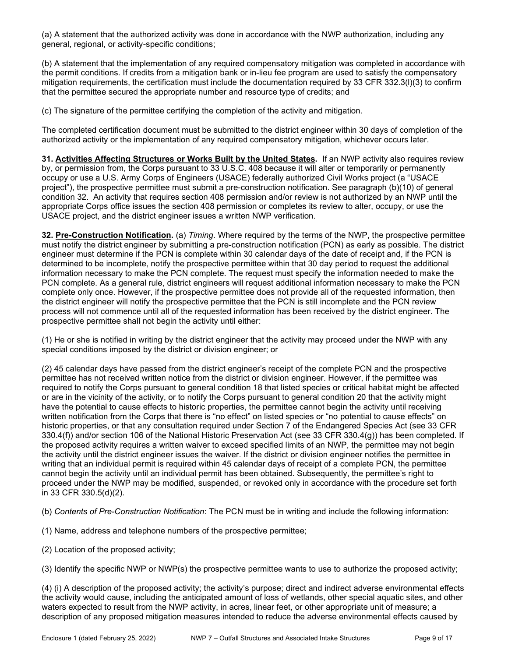(a) A statement that the authorized activity was done in accordance with the NWP authorization, including any general, regional, or activity-specific conditions;

(b) A statement that the implementation of any required compensatory mitigation was completed in accordance with the permit conditions. If credits from a mitigation bank or in-lieu fee program are used to satisfy the compensatory mitigation requirements, the certification must include the documentation required by 33 CFR 332.3(l)(3) to confirm that the permittee secured the appropriate number and resource type of credits; and

(c) The signature of the permittee certifying the completion of the activity and mitigation.

The completed certification document must be submitted to the district engineer within 30 days of completion of the authorized activity or the implementation of any required compensatory mitigation, whichever occurs later.

31. Activities Affecting Structures or Works Built by the United States. If an NWP activity also requires review by, or permission from, the Corps pursuant to 33 U.S.C. 408 because it will alter or temporarily or permanently occupy or use a U.S. Army Corps of Engineers (USACE) federally authorized Civil Works project (a "USACE project"), the prospective permittee must submit a pre-construction notification. See paragraph (b)(10) of general condition 32. An activity that requires section 408 permission and/or review is not authorized by an NWP until the appropriate Corps office issues the section 408 permission or completes its review to alter, occupy, or use the USACE project, and the district engineer issues a written NWP verification.

32. Pre-Construction Notification. (a) Timing. Where required by the terms of the NWP, the prospective permittee must notify the district engineer by submitting a pre-construction notification (PCN) as early as possible. The district engineer must determine if the PCN is complete within 30 calendar days of the date of receipt and, if the PCN is determined to be incomplete, notify the prospective permittee within that 30 day period to request the additional information necessary to make the PCN complete. The request must specify the information needed to make the PCN complete. As a general rule, district engineers will request additional information necessary to make the PCN complete only once. However, if the prospective permittee does not provide all of the requested information, then the district engineer will notify the prospective permittee that the PCN is still incomplete and the PCN review process will not commence until all of the requested information has been received by the district engineer. The prospective permittee shall not begin the activity until either:

(1) He or she is notified in writing by the district engineer that the activity may proceed under the NWP with any special conditions imposed by the district or division engineer; or

(2) 45 calendar days have passed from the district engineer's receipt of the complete PCN and the prospective permittee has not received written notice from the district or division engineer. However, if the permittee was required to notify the Corps pursuant to general condition 18 that listed species or critical habitat might be affected or are in the vicinity of the activity, or to notify the Corps pursuant to general condition 20 that the activity might have the potential to cause effects to historic properties, the permittee cannot begin the activity until receiving written notification from the Corps that there is "no effect" on listed species or "no potential to cause effects" on historic properties, or that any consultation required under Section 7 of the Endangered Species Act (see 33 CFR 330.4(f)) and/or section 106 of the National Historic Preservation Act (see 33 CFR 330.4(g)) has been completed. If the proposed activity requires a written waiver to exceed specified limits of an NWP, the permittee may not begin the activity until the district engineer issues the waiver. If the district or division engineer notifies the permittee in writing that an individual permit is required within 45 calendar days of receipt of a complete PCN, the permittee cannot begin the activity until an individual permit has been obtained. Subsequently, the permittee's right to proceed under the NWP may be modified, suspended, or revoked only in accordance with the procedure set forth in 33 CFR 330.5(d)(2).

(b) Contents of Pre-Construction Notification: The PCN must be in writing and include the following information:

(1) Name, address and telephone numbers of the prospective permittee;

(2) Location of the proposed activity;

(3) Identify the specific NWP or NWP(s) the prospective permittee wants to use to authorize the proposed activity;

(4) (i) A description of the proposed activity; the activity's purpose; direct and indirect adverse environmental effects the activity would cause, including the anticipated amount of loss of wetlands, other special aquatic sites, and other waters expected to result from the NWP activity, in acres, linear feet, or other appropriate unit of measure; a description of any proposed mitigation measures intended to reduce the adverse environmental effects caused by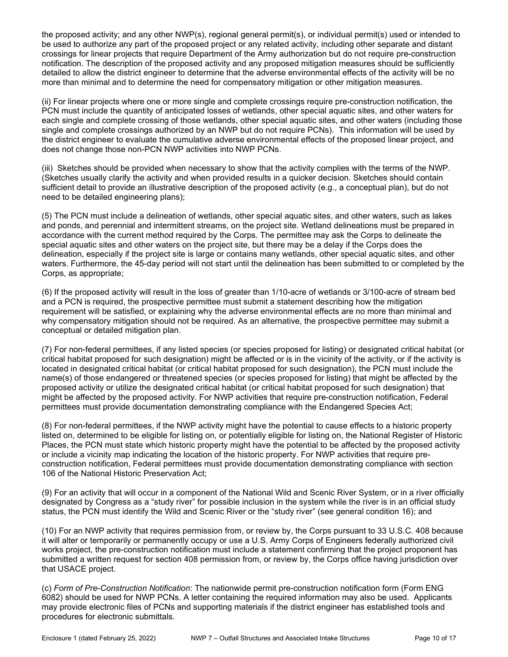the proposed activity; and any other NWP(s), regional general permit(s), or individual permit(s) used or intended to be used to authorize any part of the proposed project or any related activity, including other separate and distant crossings for linear projects that require Department of the Army authorization but do not require pre-construction notification. The description of the proposed activity and any proposed mitigation measures should be sufficiently detailed to allow the district engineer to determine that the adverse environmental effects of the activity will be no more than minimal and to determine the need for compensatory mitigation or other mitigation measures.

(ii) For linear projects where one or more single and complete crossings require pre-construction notification, the PCN must include the quantity of anticipated losses of wetlands, other special aquatic sites, and other waters for each single and complete crossing of those wetlands, other special aquatic sites, and other waters (including those single and complete crossings authorized by an NWP but do not require PCNs). This information will be used by the district engineer to evaluate the cumulative adverse environmental effects of the proposed linear project, and does not change those non-PCN NWP activities into NWP PCNs.

(iii) Sketches should be provided when necessary to show that the activity complies with the terms of the NWP. (Sketches usually clarify the activity and when provided results in a quicker decision. Sketches should contain sufficient detail to provide an illustrative description of the proposed activity (e.g., a conceptual plan), but do not need to be detailed engineering plans);

(5) The PCN must include a delineation of wetlands, other special aquatic sites, and other waters, such as lakes and ponds, and perennial and intermittent streams, on the project site. Wetland delineations must be prepared in accordance with the current method required by the Corps. The permittee may ask the Corps to delineate the special aquatic sites and other waters on the project site, but there may be a delay if the Corps does the delineation, especially if the project site is large or contains many wetlands, other special aquatic sites, and other waters. Furthermore, the 45-day period will not start until the delineation has been submitted to or completed by the Corps, as appropriate;

(6) If the proposed activity will result in the loss of greater than 1/10-acre of wetlands or 3/100-acre of stream bed and a PCN is required, the prospective permittee must submit a statement describing how the mitigation requirement will be satisfied, or explaining why the adverse environmental effects are no more than minimal and why compensatory mitigation should not be required. As an alternative, the prospective permittee may submit a conceptual or detailed mitigation plan.

(7) For non-federal permittees, if any listed species (or species proposed for listing) or designated critical habitat (or critical habitat proposed for such designation) might be affected or is in the vicinity of the activity, or if the activity is located in designated critical habitat (or critical habitat proposed for such designation), the PCN must include the name(s) of those endangered or threatened species (or species proposed for listing) that might be affected by the proposed activity or utilize the designated critical habitat (or critical habitat proposed for such designation) that might be affected by the proposed activity. For NWP activities that require pre-construction notification, Federal permittees must provide documentation demonstrating compliance with the Endangered Species Act;

(8) For non-federal permittees, if the NWP activity might have the potential to cause effects to a historic property listed on, determined to be eligible for listing on, or potentially eligible for listing on, the National Register of Historic Places, the PCN must state which historic property might have the potential to be affected by the proposed activity or include a vicinity map indicating the location of the historic property. For NWP activities that require preconstruction notification, Federal permittees must provide documentation demonstrating compliance with section 106 of the National Historic Preservation Act;

(9) For an activity that will occur in a component of the National Wild and Scenic River System, or in a river officially designated by Congress as a "study river" for possible inclusion in the system while the river is in an official study status, the PCN must identify the Wild and Scenic River or the "study river" (see general condition 16); and

(10) For an NWP activity that requires permission from, or review by, the Corps pursuant to 33 U.S.C. 408 because it will alter or temporarily or permanently occupy or use a U.S. Army Corps of Engineers federally authorized civil works project, the pre-construction notification must include a statement confirming that the project proponent has submitted a written request for section 408 permission from, or review by, the Corps office having jurisdiction over that USACE project.

(c) Form of Pre-Construction Notification: The nationwide permit pre-construction notification form (Form ENG 6082) should be used for NWP PCNs. A letter containing the required information may also be used. Applicants may provide electronic files of PCNs and supporting materials if the district engineer has established tools and procedures for electronic submittals.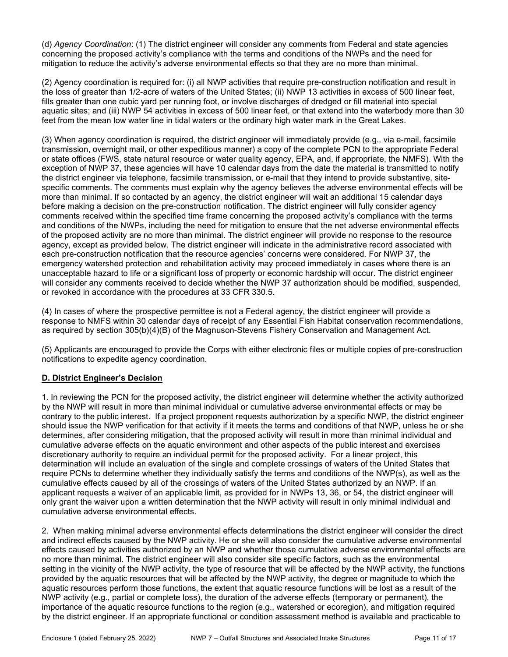(d) Agency Coordination: (1) The district engineer will consider any comments from Federal and state agencies concerning the proposed activity's compliance with the terms and conditions of the NWPs and the need for mitigation to reduce the activity's adverse environmental effects so that they are no more than minimal.

(2) Agency coordination is required for: (i) all NWP activities that require pre-construction notification and result in the loss of greater than 1/2-acre of waters of the United States; (ii) NWP 13 activities in excess of 500 linear feet, fills greater than one cubic yard per running foot, or involve discharges of dredged or fill material into special aquatic sites; and (iii) NWP 54 activities in excess of 500 linear feet, or that extend into the waterbody more than 30 feet from the mean low water line in tidal waters or the ordinary high water mark in the Great Lakes.

(3) When agency coordination is required, the district engineer will immediately provide (e.g., via e-mail, facsimile transmission, overnight mail, or other expeditious manner) a copy of the complete PCN to the appropriate Federal or state offices (FWS, state natural resource or water quality agency, EPA, and, if appropriate, the NMFS). With the exception of NWP 37, these agencies will have 10 calendar days from the date the material is transmitted to notify the district engineer via telephone, facsimile transmission, or e-mail that they intend to provide substantive, sitespecific comments. The comments must explain why the agency believes the adverse environmental effects will be more than minimal. If so contacted by an agency, the district engineer will wait an additional 15 calendar days before making a decision on the pre-construction notification. The district engineer will fully consider agency comments received within the specified time frame concerning the proposed activity's compliance with the terms and conditions of the NWPs, including the need for mitigation to ensure that the net adverse environmental effects of the proposed activity are no more than minimal. The district engineer will provide no response to the resource agency, except as provided below. The district engineer will indicate in the administrative record associated with each pre-construction notification that the resource agencies' concerns were considered. For NWP 37, the emergency watershed protection and rehabilitation activity may proceed immediately in cases where there is an unacceptable hazard to life or a significant loss of property or economic hardship will occur. The district engineer will consider any comments received to decide whether the NWP 37 authorization should be modified, suspended, or revoked in accordance with the procedures at 33 CFR 330.5.

(4) In cases of where the prospective permittee is not a Federal agency, the district engineer will provide a response to NMFS within 30 calendar days of receipt of any Essential Fish Habitat conservation recommendations, as required by section 305(b)(4)(B) of the Magnuson-Stevens Fishery Conservation and Management Act.

(5) Applicants are encouraged to provide the Corps with either electronic files or multiple copies of pre-construction notifications to expedite agency coordination.

## D. District Engineer's Decision

1. In reviewing the PCN for the proposed activity, the district engineer will determine whether the activity authorized by the NWP will result in more than minimal individual or cumulative adverse environmental effects or may be contrary to the public interest. If a project proponent requests authorization by a specific NWP, the district engineer should issue the NWP verification for that activity if it meets the terms and conditions of that NWP, unless he or she determines, after considering mitigation, that the proposed activity will result in more than minimal individual and cumulative adverse effects on the aquatic environment and other aspects of the public interest and exercises discretionary authority to require an individual permit for the proposed activity. For a linear project, this determination will include an evaluation of the single and complete crossings of waters of the United States that require PCNs to determine whether they individually satisfy the terms and conditions of the NWP(s), as well as the cumulative effects caused by all of the crossings of waters of the United States authorized by an NWP. If an applicant requests a waiver of an applicable limit, as provided for in NWPs 13, 36, or 54, the district engineer will only grant the waiver upon a written determination that the NWP activity will result in only minimal individual and cumulative adverse environmental effects.

2. When making minimal adverse environmental effects determinations the district engineer will consider the direct and indirect effects caused by the NWP activity. He or she will also consider the cumulative adverse environmental effects caused by activities authorized by an NWP and whether those cumulative adverse environmental effects are no more than minimal. The district engineer will also consider site specific factors, such as the environmental setting in the vicinity of the NWP activity, the type of resource that will be affected by the NWP activity, the functions provided by the aquatic resources that will be affected by the NWP activity, the degree or magnitude to which the aquatic resources perform those functions, the extent that aquatic resource functions will be lost as a result of the NWP activity (e.g., partial or complete loss), the duration of the adverse effects (temporary or permanent), the importance of the aquatic resource functions to the region (e.g., watershed or ecoregion), and mitigation required by the district engineer. If an appropriate functional or condition assessment method is available and practicable to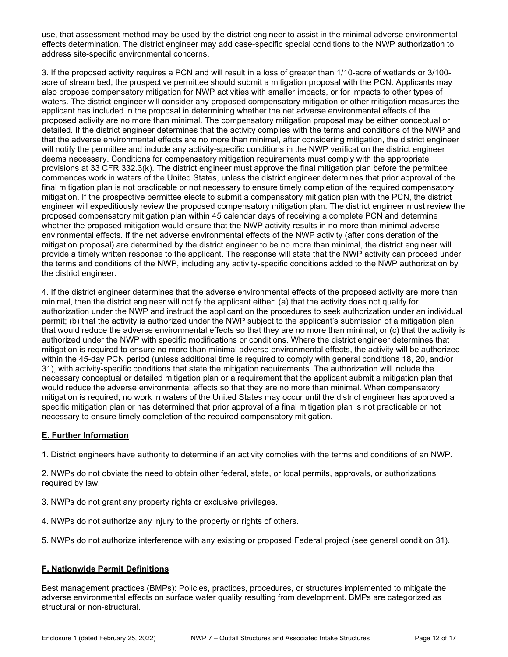use, that assessment method may be used by the district engineer to assist in the minimal adverse environmental effects determination. The district engineer may add case-specific special conditions to the NWP authorization to address site-specific environmental concerns.

3. If the proposed activity requires a PCN and will result in a loss of greater than 1/10-acre of wetlands or 3/100 acre of stream bed, the prospective permittee should submit a mitigation proposal with the PCN. Applicants may also propose compensatory mitigation for NWP activities with smaller impacts, or for impacts to other types of waters. The district engineer will consider any proposed compensatory mitigation or other mitigation measures the applicant has included in the proposal in determining whether the net adverse environmental effects of the proposed activity are no more than minimal. The compensatory mitigation proposal may be either conceptual or detailed. If the district engineer determines that the activity complies with the terms and conditions of the NWP and that the adverse environmental effects are no more than minimal, after considering mitigation, the district engineer will notify the permittee and include any activity-specific conditions in the NWP verification the district engineer deems necessary. Conditions for compensatory mitigation requirements must comply with the appropriate provisions at 33 CFR 332.3(k). The district engineer must approve the final mitigation plan before the permittee commences work in waters of the United States, unless the district engineer determines that prior approval of the final mitigation plan is not practicable or not necessary to ensure timely completion of the required compensatory mitigation. If the prospective permittee elects to submit a compensatory mitigation plan with the PCN, the district engineer will expeditiously review the proposed compensatory mitigation plan. The district engineer must review the proposed compensatory mitigation plan within 45 calendar days of receiving a complete PCN and determine whether the proposed mitigation would ensure that the NWP activity results in no more than minimal adverse environmental effects. If the net adverse environmental effects of the NWP activity (after consideration of the mitigation proposal) are determined by the district engineer to be no more than minimal, the district engineer will provide a timely written response to the applicant. The response will state that the NWP activity can proceed under the terms and conditions of the NWP, including any activity-specific conditions added to the NWP authorization by the district engineer.

4. If the district engineer determines that the adverse environmental effects of the proposed activity are more than minimal, then the district engineer will notify the applicant either: (a) that the activity does not qualify for authorization under the NWP and instruct the applicant on the procedures to seek authorization under an individual permit; (b) that the activity is authorized under the NWP subject to the applicant's submission of a mitigation plan that would reduce the adverse environmental effects so that they are no more than minimal; or (c) that the activity is authorized under the NWP with specific modifications or conditions. Where the district engineer determines that mitigation is required to ensure no more than minimal adverse environmental effects, the activity will be authorized within the 45-day PCN period (unless additional time is required to comply with general conditions 18, 20, and/or 31), with activity-specific conditions that state the mitigation requirements. The authorization will include the necessary conceptual or detailed mitigation plan or a requirement that the applicant submit a mitigation plan that would reduce the adverse environmental effects so that they are no more than minimal. When compensatory mitigation is required, no work in waters of the United States may occur until the district engineer has approved a specific mitigation plan or has determined that prior approval of a final mitigation plan is not practicable or not necessary to ensure timely completion of the required compensatory mitigation.

# E. Further Information

1. District engineers have authority to determine if an activity complies with the terms and conditions of an NWP.

2. NWPs do not obviate the need to obtain other federal, state, or local permits, approvals, or authorizations required by law.

- 3. NWPs do not grant any property rights or exclusive privileges.
- 4. NWPs do not authorize any injury to the property or rights of others.
- 5. NWPs do not authorize interference with any existing or proposed Federal project (see general condition 31).

## F. Nationwide Permit Definitions

Best management practices (BMPs): Policies, practices, procedures, or structures implemented to mitigate the adverse environmental effects on surface water quality resulting from development. BMPs are categorized as structural or non-structural.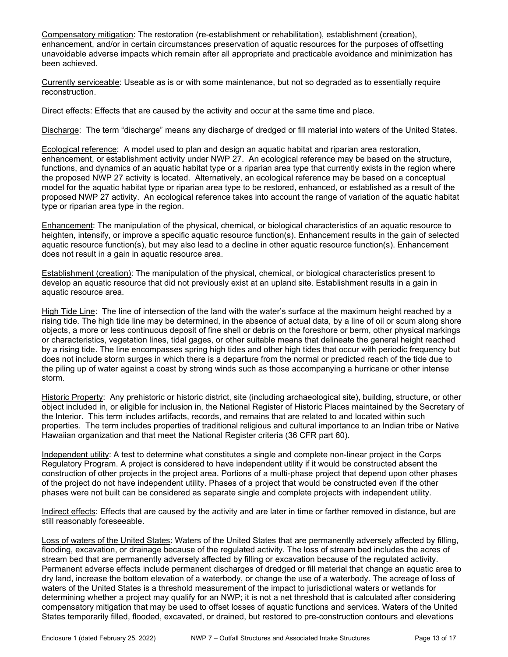Compensatory mitigation: The restoration (re-establishment or rehabilitation), establishment (creation), enhancement, and/or in certain circumstances preservation of aquatic resources for the purposes of offsetting unavoidable adverse impacts which remain after all appropriate and practicable avoidance and minimization has been achieved.

Currently serviceable: Useable as is or with some maintenance, but not so degraded as to essentially require reconstruction.

Direct effects: Effects that are caused by the activity and occur at the same time and place.

Discharge: The term "discharge" means any discharge of dredged or fill material into waters of the United States.

Ecological reference: A model used to plan and design an aquatic habitat and riparian area restoration, enhancement, or establishment activity under NWP 27. An ecological reference may be based on the structure, functions, and dynamics of an aquatic habitat type or a riparian area type that currently exists in the region where the proposed NWP 27 activity is located. Alternatively, an ecological reference may be based on a conceptual model for the aquatic habitat type or riparian area type to be restored, enhanced, or established as a result of the proposed NWP 27 activity. An ecological reference takes into account the range of variation of the aquatic habitat type or riparian area type in the region.

Enhancement: The manipulation of the physical, chemical, or biological characteristics of an aquatic resource to heighten, intensify, or improve a specific aquatic resource function(s). Enhancement results in the gain of selected aquatic resource function(s), but may also lead to a decline in other aquatic resource function(s). Enhancement does not result in a gain in aquatic resource area.

Establishment (creation): The manipulation of the physical, chemical, or biological characteristics present to develop an aquatic resource that did not previously exist at an upland site. Establishment results in a gain in aquatic resource area.

High Tide Line: The line of intersection of the land with the water's surface at the maximum height reached by a rising tide. The high tide line may be determined, in the absence of actual data, by a line of oil or scum along shore objects, a more or less continuous deposit of fine shell or debris on the foreshore or berm, other physical markings or characteristics, vegetation lines, tidal gages, or other suitable means that delineate the general height reached by a rising tide. The line encompasses spring high tides and other high tides that occur with periodic frequency but does not include storm surges in which there is a departure from the normal or predicted reach of the tide due to the piling up of water against a coast by strong winds such as those accompanying a hurricane or other intense storm.

Historic Property: Any prehistoric or historic district, site (including archaeological site), building, structure, or other object included in, or eligible for inclusion in, the National Register of Historic Places maintained by the Secretary of the Interior. This term includes artifacts, records, and remains that are related to and located within such properties. The term includes properties of traditional religious and cultural importance to an Indian tribe or Native Hawaiian organization and that meet the National Register criteria (36 CFR part 60).

Independent utility: A test to determine what constitutes a single and complete non-linear project in the Corps Regulatory Program. A project is considered to have independent utility if it would be constructed absent the construction of other projects in the project area. Portions of a multi-phase project that depend upon other phases of the project do not have independent utility. Phases of a project that would be constructed even if the other phases were not built can be considered as separate single and complete projects with independent utility.

Indirect effects: Effects that are caused by the activity and are later in time or farther removed in distance, but are still reasonably foreseeable.

Loss of waters of the United States: Waters of the United States that are permanently adversely affected by filling, flooding, excavation, or drainage because of the regulated activity. The loss of stream bed includes the acres of stream bed that are permanently adversely affected by filling or excavation because of the regulated activity. Permanent adverse effects include permanent discharges of dredged or fill material that change an aquatic area to dry land, increase the bottom elevation of a waterbody, or change the use of a waterbody. The acreage of loss of waters of the United States is a threshold measurement of the impact to jurisdictional waters or wetlands for determining whether a project may qualify for an NWP; it is not a net threshold that is calculated after considering compensatory mitigation that may be used to offset losses of aquatic functions and services. Waters of the United States temporarily filled, flooded, excavated, or drained, but restored to pre-construction contours and elevations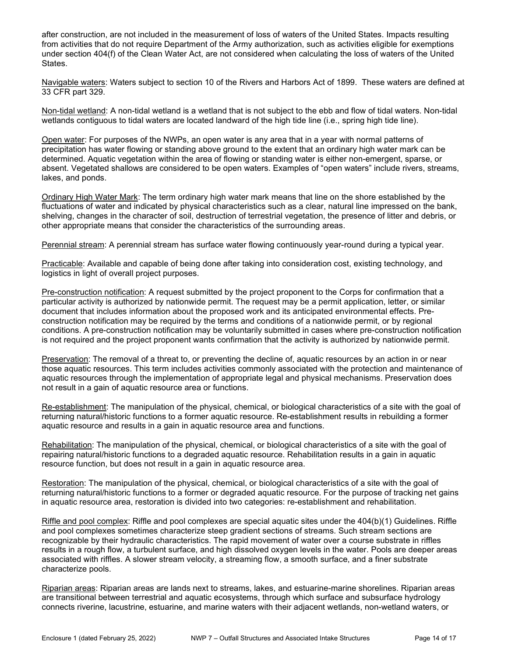after construction, are not included in the measurement of loss of waters of the United States. Impacts resulting from activities that do not require Department of the Army authorization, such as activities eligible for exemptions under section 404(f) of the Clean Water Act, are not considered when calculating the loss of waters of the United States.

Navigable waters: Waters subject to section 10 of the Rivers and Harbors Act of 1899. These waters are defined at 33 CFR part 329.

Non-tidal wetland: A non-tidal wetland is a wetland that is not subject to the ebb and flow of tidal waters. Non-tidal wetlands contiguous to tidal waters are located landward of the high tide line (i.e., spring high tide line).

Open water: For purposes of the NWPs, an open water is any area that in a year with normal patterns of precipitation has water flowing or standing above ground to the extent that an ordinary high water mark can be determined. Aquatic vegetation within the area of flowing or standing water is either non-emergent, sparse, or absent. Vegetated shallows are considered to be open waters. Examples of "open waters" include rivers, streams, lakes, and ponds.

Ordinary High Water Mark: The term ordinary high water mark means that line on the shore established by the fluctuations of water and indicated by physical characteristics such as a clear, natural line impressed on the bank, shelving, changes in the character of soil, destruction of terrestrial vegetation, the presence of litter and debris, or other appropriate means that consider the characteristics of the surrounding areas.

Perennial stream: A perennial stream has surface water flowing continuously year-round during a typical year.

Practicable: Available and capable of being done after taking into consideration cost, existing technology, and logistics in light of overall project purposes.

Pre-construction notification: A request submitted by the project proponent to the Corps for confirmation that a particular activity is authorized by nationwide permit. The request may be a permit application, letter, or similar document that includes information about the proposed work and its anticipated environmental effects. Preconstruction notification may be required by the terms and conditions of a nationwide permit, or by regional conditions. A pre-construction notification may be voluntarily submitted in cases where pre-construction notification is not required and the project proponent wants confirmation that the activity is authorized by nationwide permit.

Preservation: The removal of a threat to, or preventing the decline of, aquatic resources by an action in or near those aquatic resources. This term includes activities commonly associated with the protection and maintenance of aquatic resources through the implementation of appropriate legal and physical mechanisms. Preservation does not result in a gain of aquatic resource area or functions.

Re-establishment: The manipulation of the physical, chemical, or biological characteristics of a site with the goal of returning natural/historic functions to a former aquatic resource. Re-establishment results in rebuilding a former aquatic resource and results in a gain in aquatic resource area and functions.

Rehabilitation: The manipulation of the physical, chemical, or biological characteristics of a site with the goal of repairing natural/historic functions to a degraded aquatic resource. Rehabilitation results in a gain in aquatic resource function, but does not result in a gain in aquatic resource area.

Restoration: The manipulation of the physical, chemical, or biological characteristics of a site with the goal of returning natural/historic functions to a former or degraded aquatic resource. For the purpose of tracking net gains in aquatic resource area, restoration is divided into two categories: re-establishment and rehabilitation.

Riffle and pool complex: Riffle and pool complexes are special aquatic sites under the 404(b)(1) Guidelines. Riffle and pool complexes sometimes characterize steep gradient sections of streams. Such stream sections are recognizable by their hydraulic characteristics. The rapid movement of water over a course substrate in riffles results in a rough flow, a turbulent surface, and high dissolved oxygen levels in the water. Pools are deeper areas associated with riffles. A slower stream velocity, a streaming flow, a smooth surface, and a finer substrate characterize pools.

Riparian areas: Riparian areas are lands next to streams, lakes, and estuarine-marine shorelines. Riparian areas are transitional between terrestrial and aquatic ecosystems, through which surface and subsurface hydrology connects riverine, lacustrine, estuarine, and marine waters with their adjacent wetlands, non-wetland waters, or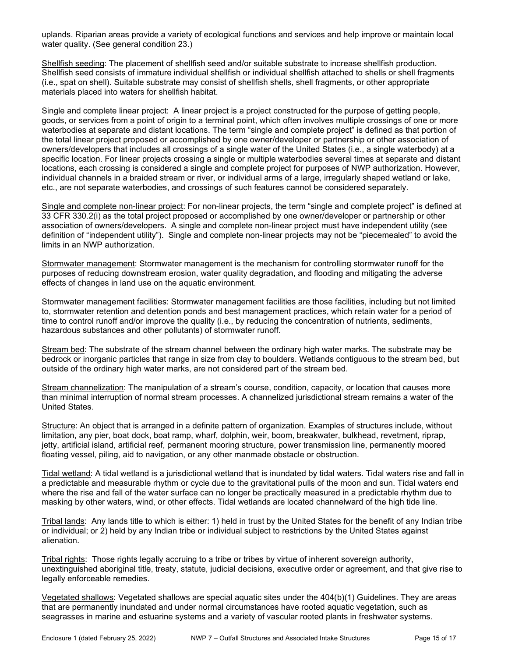uplands. Riparian areas provide a variety of ecological functions and services and help improve or maintain local water quality. (See general condition 23.)

Shellfish seeding: The placement of shellfish seed and/or suitable substrate to increase shellfish production. Shellfish seed consists of immature individual shellfish or individual shellfish attached to shells or shell fragments (i.e., spat on shell). Suitable substrate may consist of shellfish shells, shell fragments, or other appropriate materials placed into waters for shellfish habitat.

Single and complete linear project: A linear project is a project constructed for the purpose of getting people, goods, or services from a point of origin to a terminal point, which often involves multiple crossings of one or more waterbodies at separate and distant locations. The term "single and complete project" is defined as that portion of the total linear project proposed or accomplished by one owner/developer or partnership or other association of owners/developers that includes all crossings of a single water of the United States (i.e., a single waterbody) at a specific location. For linear projects crossing a single or multiple waterbodies several times at separate and distant locations, each crossing is considered a single and complete project for purposes of NWP authorization. However, individual channels in a braided stream or river, or individual arms of a large, irregularly shaped wetland or lake, etc., are not separate waterbodies, and crossings of such features cannot be considered separately.

Single and complete non-linear project: For non-linear projects, the term "single and complete project" is defined at 33 CFR 330.2(i) as the total project proposed or accomplished by one owner/developer or partnership or other association of owners/developers. A single and complete non-linear project must have independent utility (see definition of "independent utility"). Single and complete non-linear projects may not be "piecemealed" to avoid the limits in an NWP authorization.

Stormwater management: Stormwater management is the mechanism for controlling stormwater runoff for the purposes of reducing downstream erosion, water quality degradation, and flooding and mitigating the adverse effects of changes in land use on the aquatic environment.

Stormwater management facilities: Stormwater management facilities are those facilities, including but not limited to, stormwater retention and detention ponds and best management practices, which retain water for a period of time to control runoff and/or improve the quality (i.e., by reducing the concentration of nutrients, sediments, hazardous substances and other pollutants) of stormwater runoff.

Stream bed: The substrate of the stream channel between the ordinary high water marks. The substrate may be bedrock or inorganic particles that range in size from clay to boulders. Wetlands contiguous to the stream bed, but outside of the ordinary high water marks, are not considered part of the stream bed.

Stream channelization: The manipulation of a stream's course, condition, capacity, or location that causes more than minimal interruption of normal stream processes. A channelized jurisdictional stream remains a water of the United States.

Structure: An object that is arranged in a definite pattern of organization. Examples of structures include, without limitation, any pier, boat dock, boat ramp, wharf, dolphin, weir, boom, breakwater, bulkhead, revetment, riprap, jetty, artificial island, artificial reef, permanent mooring structure, power transmission line, permanently moored floating vessel, piling, aid to navigation, or any other manmade obstacle or obstruction.

Tidal wetland: A tidal wetland is a jurisdictional wetland that is inundated by tidal waters. Tidal waters rise and fall in a predictable and measurable rhythm or cycle due to the gravitational pulls of the moon and sun. Tidal waters end where the rise and fall of the water surface can no longer be practically measured in a predictable rhythm due to masking by other waters, wind, or other effects. Tidal wetlands are located channelward of the high tide line.

Tribal lands: Any lands title to which is either: 1) held in trust by the United States for the benefit of any Indian tribe or individual; or 2) held by any Indian tribe or individual subject to restrictions by the United States against alienation.

Tribal rights: Those rights legally accruing to a tribe or tribes by virtue of inherent sovereign authority, unextinguished aboriginal title, treaty, statute, judicial decisions, executive order or agreement, and that give rise to legally enforceable remedies.

Vegetated shallows: Vegetated shallows are special aquatic sites under the 404(b)(1) Guidelines. They are areas that are permanently inundated and under normal circumstances have rooted aquatic vegetation, such as seagrasses in marine and estuarine systems and a variety of vascular rooted plants in freshwater systems.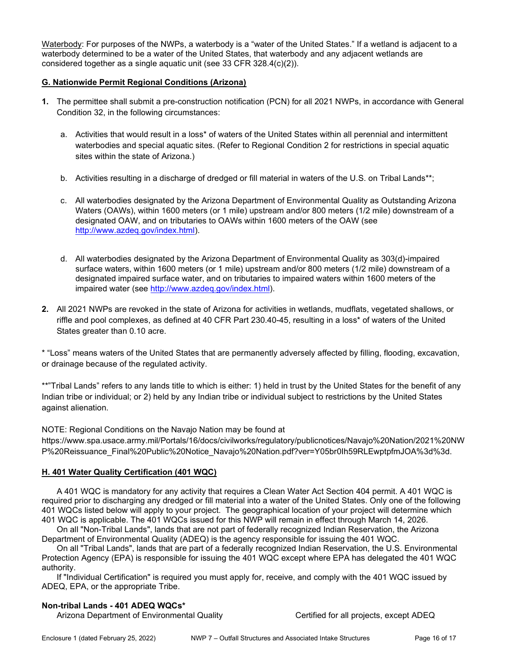Waterbody: For purposes of the NWPs, a waterbody is a "water of the United States." If a wetland is adjacent to a waterbody determined to be a water of the United States, that waterbody and any adjacent wetlands are considered together as a single aquatic unit (see 33 CFR 328.4(c)(2)).

### G. Nationwide Permit Regional Conditions (Arizona)

- 1. The permittee shall submit a pre-construction notification (PCN) for all 2021 NWPs, in accordance with General Condition 32, in the following circumstances:
	- a. Activities that would result in a loss\* of waters of the United States within all perennial and intermittent waterbodies and special aquatic sites. (Refer to Regional Condition 2 for restrictions in special aquatic sites within the state of Arizona.)
	- b. Activities resulting in a discharge of dredged or fill material in waters of the U.S. on Tribal Lands\*\*;
	- c. All waterbodies designated by the Arizona Department of Environmental Quality as Outstanding Arizona Waters (OAWs), within 1600 meters (or 1 mile) upstream and/or 800 meters (1/2 mile) downstream of a designated OAW, and on tributaries to OAWs within 1600 meters of the OAW (see http://www.azdeq.gov/index.html).
	- d. All waterbodies designated by the Arizona Department of Environmental Quality as 303(d)-impaired surface waters, within 1600 meters (or 1 mile) upstream and/or 800 meters (1/2 mile) downstream of a designated impaired surface water, and on tributaries to impaired waters within 1600 meters of the impaired water (see http://www.azdeq.gov/index.html).
- 2. All 2021 NWPs are revoked in the state of Arizona for activities in wetlands, mudflats, vegetated shallows, or riffle and pool complexes, as defined at 40 CFR Part 230.40-45, resulting in a loss\* of waters of the United States greater than 0.10 acre.

\* "Loss" means waters of the United States that are permanently adversely affected by filling, flooding, excavation, or drainage because of the regulated activity.

\*\*"Tribal Lands" refers to any lands title to which is either: 1) held in trust by the United States for the benefit of any Indian tribe or individual; or 2) held by any Indian tribe or individual subject to restrictions by the United States against alienation.

NOTE: Regional Conditions on the Navajo Nation may be found at

https://www.spa.usace.army.mil/Portals/16/docs/civilworks/regulatory/publicnotices/Navajo%20Nation/2021%20NW P%20Reissuance\_Final%20Public%20Notice\_Navajo%20Nation.pdf?ver=Y05br0Ih59RLEwptpfmJOA%3d%3d.

### H. 401 Water Quality Certification (401 WQC)

 A 401 WQC is mandatory for any activity that requires a Clean Water Act Section 404 permit. A 401 WQC is required prior to discharging any dredged or fill material into a water of the United States. Only one of the following 401 WQCs listed below will apply to your project. The geographical location of your project will determine which 401 WQC is applicable. The 401 WQCs issued for this NWP will remain in effect through March 14, 2026.

 On all "Non-Tribal Lands", lands that are not part of federally recognized Indian Reservation, the Arizona Department of Environmental Quality (ADEQ) is the agency responsible for issuing the 401 WQC.

 On all "Tribal Lands", lands that are part of a federally recognized Indian Reservation, the U.S. Environmental Protection Agency (EPA) is responsible for issuing the 401 WQC except where EPA has delegated the 401 WQC authority.

 If "Individual Certification" is required you must apply for, receive, and comply with the 401 WQC issued by ADEQ, EPA, or the appropriate Tribe.

### Non-tribal Lands - 401 ADEQ WQCs\*

Arizona Department of Environmental Quality Certified for all projects, except ADEQ